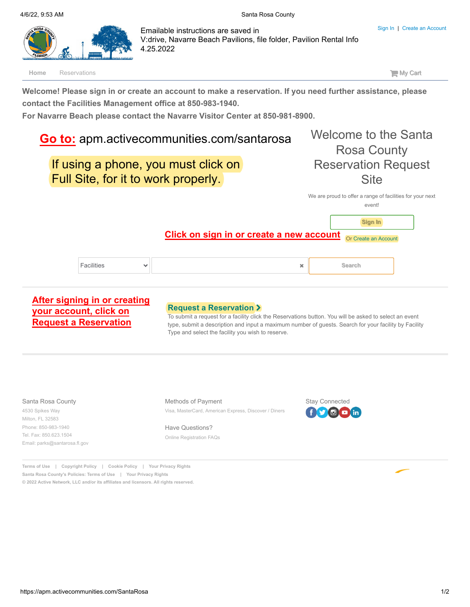<span id="page-0-0"></span>

Or [Create an Account](https://apm.activecommunities.com/santarosa/Create_Account) **Click on sign in or create a new account**

| <b>Facilities</b> | × | <b>Search</b> |
|-------------------|---|---------------|
|-------------------|---|---------------|

### **[After signing in or creating](https://apm.activecommunities.com/santarosa/Reserve_Options)  your account, click on Request a Reservation**

### **[Request a Reservation](https://apm.activecommunities.com/santarosa/Reserve_Options)**

To submit a request for a facility click the Reservations button. You will be asked to select an event type, submit a description and input a maximum number of guests. Search for your facility by Facility Type and select the facility you wish to reserve.

#### Santa Rosa County

4530 Spikes Way Milton, FL 32583 Phone: 850-983-1940 Tel. Fax: 850.623.1504 [Email: parks@santarosa.fl.gov](mailto:parks@santarosa.fl.gov) Methods of Payment

Visa, MasterCard, American Express, Discover / Diners

Have Questions? [Online Registration FAQs](https://apm.activecommunities.com/santarosa/ActiveNet_Home?FileName=faqPage.sdi)



**[Sign In](https://apm.activecommunities.com/santarosa/ActiveNet_Login?params=aHR0cHM6Ly9hcG0uYWN0aXZlY29tbXVuaXRpZXMuY29tL3NhbnRhcm9zYS9Ib21l)**

**[Terms of Use](#page-0-0) | [Copyright Policy |](#page-0-0) [Cookie Policy |](#page-0-0) [Your Privacy Rights](#page-0-0) Santa Rosa County's Policies: [Terms of Use |](#page-0-0) [Your Privacy Rights](#page-0-0) © 2022 [Active Network, LLC](#page-0-0) and/or its affiliates and licensors. All rights reserved.**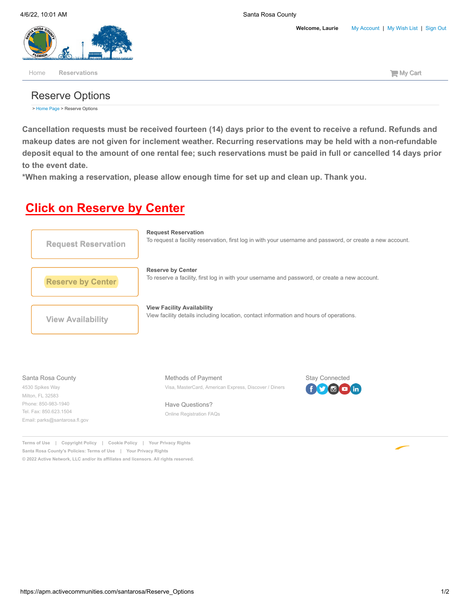**Welcome, Laurie** [My Account](https://apm.activecommunities.com/santarosa/ActiveNet_Home?FileName=accountoptions.sdi) **|** [My Wish List](https://apm.activecommunities.com/santarosa/ActiveNet_Wish_List) **|** [Sign Out](https://apm.activecommunities.com/santarosa/ActiveNet_Login?logoff=true)

<span id="page-1-0"></span>

## Reserve Options

> [Home Page](https://apm.activecommunities.com/santarosa/Home) > Reserve Options

**Cancellation requests must be received fourteen (14) days prior to the event to receive a refund. Refunds and makeup dates are not given for inclement weather. Recurring reservations may be held with a non-refundable deposit equal to the amount of one rental fee; such reservations must be paid in full or cancelled 14 days prior to the event date.**

**\*When making a reservation, please allow enough time for set up and clean up. Thank you.**

# **Click on Reserve by Center**



### Santa Rosa County

4530 Spikes Way Milton, FL 32583 Phone: 850-983-1940 Tel. Fax: 850.623.1504 [Email: parks@santarosa.fl.gov](mailto:parks@santarosa.fl.gov) Methods of Payment Visa, MasterCard, American Express, Discover / Diners

Have Questions? [Online Registration FAQs](https://apm.activecommunities.com/santarosa/ActiveNet_Home?FileName=faqPage.sdi)



**[Terms of Use](#page-1-0) | [Copyright Policy |](#page-1-0) [Cookie Policy |](#page-1-0) [Your Privacy Rights](#page-1-0) Santa Rosa County's Policies: [Terms of Use |](#page-1-0) [Your Privacy Rights](#page-1-0) © 2022 [Active Network, LLC](#page-1-0) and/or its affiliates and licensors. All rights reserved.**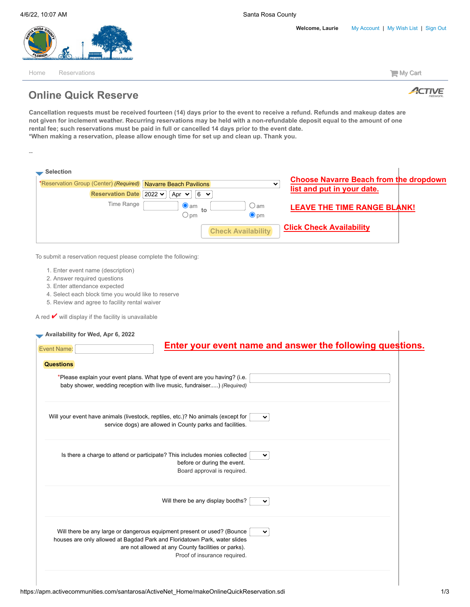

[Home](https://apm.activecommunities.com/santarosa/Home) [Reservations](https://apm.activecommunities.com/santarosa/Reserve_Options) **My Cart** 

--



## **Online Quick Reserve**

**Cancellation requests must be received fourteen (14) days prior to the event to receive a refund. Refunds and makeup dates are not given for inclement weather. Recurring reservations may be held with a non-refundable deposit equal to the amount of one rental fee; such reservations must be paid in full or cancelled 14 days prior to the event date. \*When making a reservation, please allow enough time for set up and clean up. Thank you.**

| *Reservation Group (Center) (Required) Navarre Beach Pavilions          |                                                                                                                                  | ✔                               | <b>Choose Navarre Beach from the dropdown</b><br>list and put in your date. |  |
|-------------------------------------------------------------------------|----------------------------------------------------------------------------------------------------------------------------------|---------------------------------|-----------------------------------------------------------------------------|--|
| <b>Reservation Date</b> 2022 <del>∨</del>                               | Apr $\vee$<br>$6 \times$                                                                                                         |                                 |                                                                             |  |
| Time Range                                                              | $\bullet$ am<br>to<br>$\bigcirc$ pm                                                                                              | ○ am<br>$\bullet$ <sub>pm</sub> | <b>LEAVE THE TIME RANGE BLANK!</b>                                          |  |
|                                                                         | <b>Check Availability</b>                                                                                                        |                                 | <b>Click Check Availability</b>                                             |  |
| To submit a reservation request please complete the following:          |                                                                                                                                  |                                 |                                                                             |  |
| 1. Enter event name (description)                                       |                                                                                                                                  |                                 |                                                                             |  |
| 2. Answer required questions                                            |                                                                                                                                  |                                 |                                                                             |  |
| 3. Enter attendance expected                                            |                                                                                                                                  |                                 |                                                                             |  |
| 4. Select each block time you would like to reserve                     |                                                                                                                                  |                                 |                                                                             |  |
| 5. Review and agree to facility rental waiver                           |                                                                                                                                  |                                 |                                                                             |  |
| A red $\blacktriangleright$ will display if the facility is unavailable |                                                                                                                                  |                                 |                                                                             |  |
|                                                                         |                                                                                                                                  |                                 |                                                                             |  |
| Availability for Wed, Apr 6, 2022                                       |                                                                                                                                  |                                 |                                                                             |  |
|                                                                         |                                                                                                                                  |                                 |                                                                             |  |
|                                                                         |                                                                                                                                  |                                 | Enter your event name and answer the following questions.                   |  |
| <b>Event Name:</b>                                                      |                                                                                                                                  |                                 |                                                                             |  |
| <b>Questions</b>                                                        |                                                                                                                                  |                                 |                                                                             |  |
|                                                                         |                                                                                                                                  |                                 |                                                                             |  |
|                                                                         | *Please explain your event plans. What type of event are you having? (i.e.                                                       |                                 |                                                                             |  |
|                                                                         | baby shower, wedding reception with live music, fundraiser) (Required)                                                           |                                 |                                                                             |  |
|                                                                         |                                                                                                                                  |                                 |                                                                             |  |
|                                                                         |                                                                                                                                  |                                 |                                                                             |  |
|                                                                         | Will your event have animals (livestock, reptiles, etc.)? No animals (except for                                                 | $\checkmark$                    |                                                                             |  |
|                                                                         | service dogs) are allowed in County parks and facilities.                                                                        |                                 |                                                                             |  |
|                                                                         |                                                                                                                                  |                                 |                                                                             |  |
|                                                                         |                                                                                                                                  |                                 |                                                                             |  |
|                                                                         | Is there a charge to attend or participate? This includes monies collected                                                       | $\checkmark$                    |                                                                             |  |
|                                                                         | before or during the event.                                                                                                      |                                 |                                                                             |  |
|                                                                         | Board approval is required.                                                                                                      |                                 |                                                                             |  |
|                                                                         |                                                                                                                                  |                                 |                                                                             |  |
|                                                                         |                                                                                                                                  | ╰                               |                                                                             |  |
|                                                                         | Will there be any display booths?                                                                                                |                                 |                                                                             |  |
|                                                                         |                                                                                                                                  |                                 |                                                                             |  |
|                                                                         |                                                                                                                                  |                                 |                                                                             |  |
|                                                                         | Will there be any large or dangerous equipment present or used? (Bounce                                                          | $\checkmark$                    |                                                                             |  |
|                                                                         | houses are only allowed at Bagdad Park and Floridatown Park, water slides<br>are not allowed at any County facilities or parks). |                                 |                                                                             |  |
|                                                                         |                                                                                                                                  |                                 |                                                                             |  |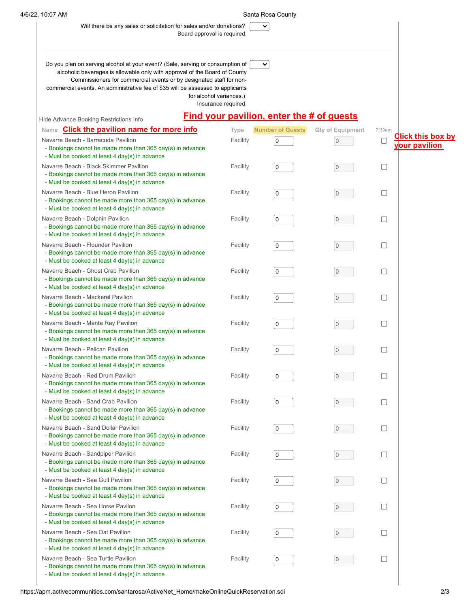### 4/6/22, 10:07 AM Santa Rosa County

 $\overline{\mathbf{v}}$ 

| Will there be any sales or solicitation for sales and/or donations? |
|---------------------------------------------------------------------|
| Roard approval is required                                          |

Board approval is required.

| Do you plan on serving alcohol at your event? (Sale, serving or consumption of<br>alcoholic beverages is allowable only with approval of the Board of County<br>Commissioners for commercial events or by designated staff for non-<br>commercial events. An administrative fee of \$35 will be assessed to applicants |                                                | $\checkmark$                                     |                         |        |                                           |
|------------------------------------------------------------------------------------------------------------------------------------------------------------------------------------------------------------------------------------------------------------------------------------------------------------------------|------------------------------------------------|--------------------------------------------------|-------------------------|--------|-------------------------------------------|
|                                                                                                                                                                                                                                                                                                                        | for alcohol variances.)<br>Insurance required. |                                                  |                         |        |                                           |
| Hide Advance Booking Restrictions Info                                                                                                                                                                                                                                                                                 |                                                | <b>Find your pavilion, enter the # of guests</b> |                         |        |                                           |
| <b>Click the pavilion name for more info</b><br>Name                                                                                                                                                                                                                                                                   | Type                                           | <b>Number of Guests</b>                          | <b>Qty of Equipment</b> | 7:30am |                                           |
| Navarre Beach - Barracuda Pavilion<br>- Bookings cannot be made more than 365 day(s) in advance<br>- Must be booked at least 4 day(s) in advance                                                                                                                                                                       | Facility                                       | $\mathsf 0$                                      | $\overline{0}$          | u      | <b>Click this box by</b><br>your pavilion |
| Navarre Beach - Black Skimmer Pavilion<br>- Bookings cannot be made more than 365 day(s) in advance<br>- Must be booked at least 4 day(s) in advance                                                                                                                                                                   | Facility                                       | 0                                                | $\overline{0}$          | $\Box$ |                                           |
| Navarre Beach - Blue Heron Pavilion<br>- Bookings cannot be made more than 365 day(s) in advance<br>- Must be booked at least 4 day(s) in advance                                                                                                                                                                      | Facility                                       | 0                                                | $\overline{0}$          | □      |                                           |
| Navarre Beach - Dolphin Pavilion<br>- Bookings cannot be made more than 365 day(s) in advance<br>- Must be booked at least 4 day(s) in advance                                                                                                                                                                         | Facility                                       | 0                                                | $\overline{0}$          | U      |                                           |
| Navarre Beach - Flounder Pavilion<br>- Bookings cannot be made more than 365 day(s) in advance<br>- Must be booked at least 4 day(s) in advance                                                                                                                                                                        | Facility                                       | 0                                                | $\mathbf{0}$            | ∩      |                                           |
| Navarre Beach - Ghost Crab Pavilion<br>- Bookings cannot be made more than 365 day(s) in advance<br>- Must be booked at least 4 day(s) in advance                                                                                                                                                                      | Facility                                       | 0                                                | $\overline{0}$          | U      |                                           |
| Navarre Beach - Mackerel Pavilion<br>- Bookings cannot be made more than 365 day(s) in advance<br>- Must be booked at least 4 day(s) in advance                                                                                                                                                                        | Facility                                       | 0                                                | $\overline{0}$          | □      |                                           |
| Navarre Beach - Manta Ray Pavilion<br>- Bookings cannot be made more than 365 day(s) in advance<br>- Must be booked at least 4 day(s) in advance                                                                                                                                                                       | Facility                                       | 0                                                | $\overline{0}$          | □      |                                           |
| Navarre Beach - Pelican Pavilion<br>- Bookings cannot be made more than 365 day(s) in advance<br>- Must be booked at least 4 day(s) in advance                                                                                                                                                                         | Facility                                       | 0                                                | $\overline{0}$          | u      |                                           |
| Navarre Beach - Red Drum Pavilion<br>- Bookings cannot be made more than 365 day(s) in advance<br>- Must be booked at least 4 day(s) in advance                                                                                                                                                                        | Facility                                       | 0                                                | 0                       | $\Box$ |                                           |
| Navarre Beach - Sand Crab Pavilion<br>- Bookings cannot be made more than 365 day(s) in advance<br>- Must be booked at least 4 day(s) in advance                                                                                                                                                                       | Facility                                       | $\Omega$                                         | $\mathbf{0}$            | $\Box$ |                                           |
| Navarre Beach - Sand Dollar Pavilion<br>- Bookings cannot be made more than 365 day(s) in advance<br>- Must be booked at least 4 day(s) in advance                                                                                                                                                                     | Facility                                       | 0                                                | $\overline{0}$          | u      |                                           |
| Navarre Beach - Sandpiper Pavilion<br>- Bookings cannot be made more than 365 day(s) in advance<br>- Must be booked at least 4 day(s) in advance                                                                                                                                                                       | Facility                                       | 0                                                | $\overline{0}$          | □      |                                           |
| Navarre Beach - Sea Gull Pavilion<br>- Bookings cannot be made more than 365 day(s) in advance<br>- Must be booked at least 4 day(s) in advance                                                                                                                                                                        | Facility                                       | 0                                                | $\overline{0}$          | u      |                                           |
| Navarre Beach - Sea Horse Pavilon<br>- Bookings cannot be made more than 365 day(s) in advance<br>- Must be booked at least 4 day(s) in advance                                                                                                                                                                        | Facility                                       | 0                                                | 0                       | ⊓      |                                           |
| Navarre Beach - Sea Oat Pavilion<br>- Bookings cannot be made more than 365 day(s) in advance<br>- Must be booked at least 4 day(s) in advance                                                                                                                                                                         | Facility                                       | 0                                                | 0                       | ⊓      |                                           |
| Navarre Beach - Sea Turtle Pavilion<br>- Bookings cannot be made more than 365 day(s) in advance                                                                                                                                                                                                                       | Facility                                       | 0                                                | $\overline{0}$          | U      |                                           |

- Must be booked at least 4 day(s) in advance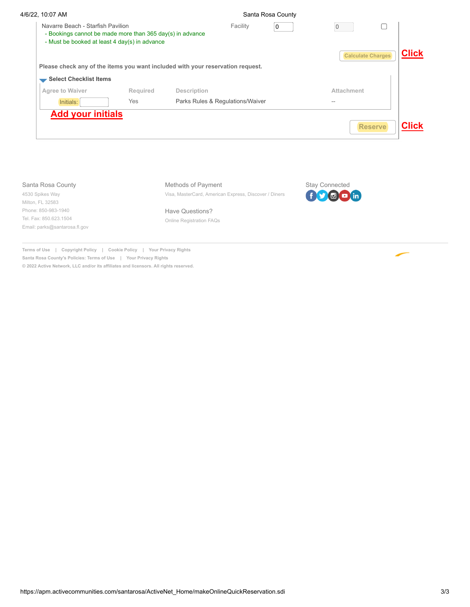| 4/6/22, 10:07 AM                                                                                                                                |          |                                                       | Santa Rosa County |             |                       |                          |              |
|-------------------------------------------------------------------------------------------------------------------------------------------------|----------|-------------------------------------------------------|-------------------|-------------|-----------------------|--------------------------|--------------|
| Navarre Beach - Starfish Pavilion<br>- Bookings cannot be made more than 365 day(s) in advance<br>- Must be booked at least 4 day(s) in advance |          |                                                       | Facility          | $\mathbf 0$ | $\mathbf{0}$          | <b>Calculate Charges</b> | <b>Click</b> |
| Please check any of the items you want included with your reservation request.                                                                  |          |                                                       |                   |             |                       |                          |              |
| Select Checklist Items                                                                                                                          |          |                                                       |                   |             |                       |                          |              |
| Agree to Waiver                                                                                                                                 | Required | Description                                           |                   |             | Attachment            |                          |              |
| Initials:                                                                                                                                       | Yes      | Parks Rules & Regulations/Waiver                      |                   |             | $\sim$ $-$            |                          |              |
| <b>Add your initials</b>                                                                                                                        |          |                                                       |                   |             |                       | <b>Reserve</b>           | <b>Click</b> |
|                                                                                                                                                 |          |                                                       |                   |             |                       |                          |              |
| Santa Rosa County                                                                                                                               |          | Methods of Payment                                    |                   |             | <b>Stay Connected</b> |                          |              |
| 4530 Spikes Way<br>Milton, FL 32583                                                                                                             |          | Visa, MasterCard, American Express, Discover / Diners |                   |             | $\bigcirc$ o in       |                          |              |
| Phone: 850-983-1940                                                                                                                             |          | Have Questions?                                       |                   |             |                       |                          |              |
| Tel. Fax: 850.623.1504                                                                                                                          |          | Online Registration FAQs                              |                   |             |                       |                          |              |

**Terms of Use | Copyright Policy | Cookie Policy | Your Privacy Rights Santa Rosa County's Policies: Terms of Use | Your Privacy Rights © 2022 Active Network, LLC and/or its affiliates and licensors. All rights reserved.**

[Email: parks@santarosa.fl.gov](mailto:parks@santarosa.fl.gov)